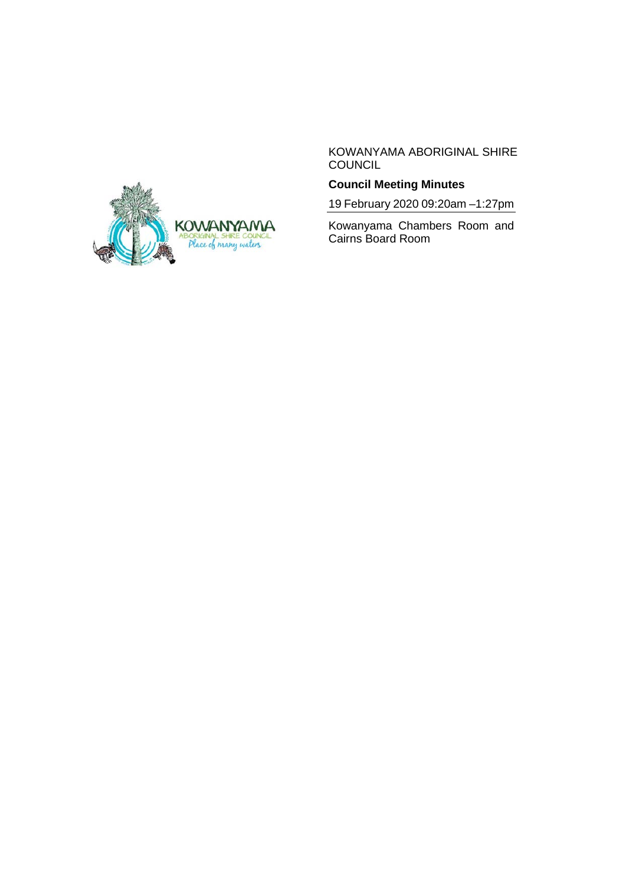

KOWANYAMA ABORIGINAL SHIRE **COUNCIL** 

# **Council Meeting Minutes**

19 February 2020 09:20am –1:27pm

Kowanyama Chambers Room and Cairns Board Room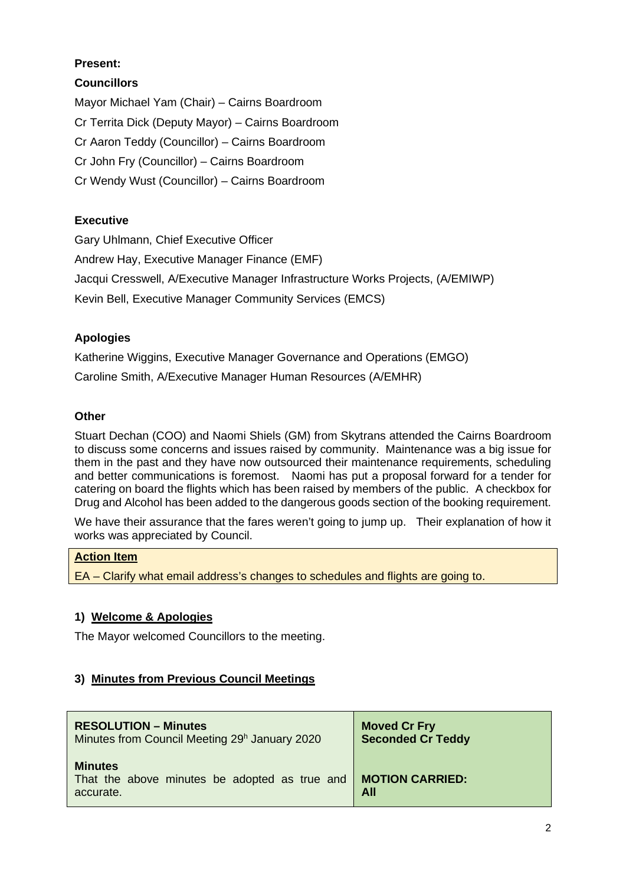# **Present:**

## **Councillors**

Mayor Michael Yam (Chair) – Cairns Boardroom Cr Territa Dick (Deputy Mayor) – Cairns Boardroom Cr Aaron Teddy (Councillor) – Cairns Boardroom Cr John Fry (Councillor) – Cairns Boardroom Cr Wendy Wust (Councillor) – Cairns Boardroom

# **Executive**

Gary Uhlmann, Chief Executive Officer Andrew Hay, Executive Manager Finance (EMF) Jacqui Cresswell, A/Executive Manager Infrastructure Works Projects, (A/EMIWP) Kevin Bell, Executive Manager Community Services (EMCS)

## **Apologies**

Katherine Wiggins, Executive Manager Governance and Operations (EMGO) Caroline Smith, A/Executive Manager Human Resources (A/EMHR)

## **Other**

Stuart Dechan (COO) and Naomi Shiels (GM) from Skytrans attended the Cairns Boardroom to discuss some concerns and issues raised by community. Maintenance was a big issue for them in the past and they have now outsourced their maintenance requirements, scheduling and better communications is foremost. Naomi has put a proposal forward for a tender for catering on board the flights which has been raised by members of the public. A checkbox for Drug and Alcohol has been added to the dangerous goods section of the booking requirement.

We have their assurance that the fares weren't going to jump up. Their explanation of how it works was appreciated by Council.

## **Action Item**

EA – Clarify what email address's changes to schedules and flights are going to.

## **1) Welcome & Apologies**

The Mayor welcomed Councillors to the meeting.

## **3) Minutes from Previous Council Meetings**

| <b>RESOLUTION – Minutes</b>                                                  | <b>Moved Cr Fry</b>           |
|------------------------------------------------------------------------------|-------------------------------|
| Minutes from Council Meeting 29 <sup>h</sup> January 2020                    | <b>Seconded Cr Teddy</b>      |
| <b>Minutes</b><br>That the above minutes be adopted as true and<br>accurate. | <b>MOTION CARRIED:</b><br>All |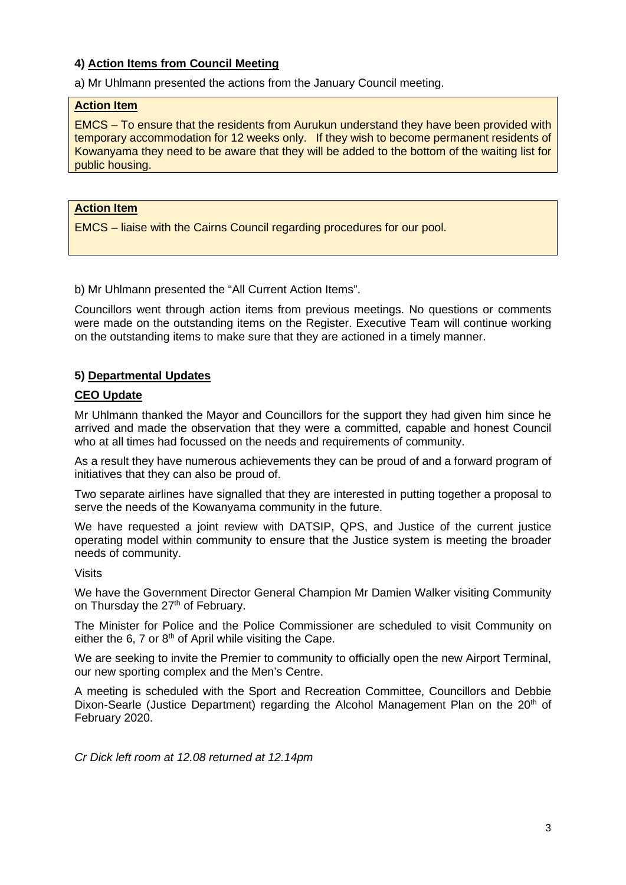## **4) Action Items from Council Meeting**

a) Mr Uhlmann presented the actions from the January Council meeting.

#### **Action Item**

EMCS – To ensure that the residents from Aurukun understand they have been provided with temporary accommodation for 12 weeks only. If they wish to become permanent residents of Kowanyama they need to be aware that they will be added to the bottom of the waiting list for public housing.

### **Action Item**

EMCS – liaise with the Cairns Council regarding procedures for our pool.

b) Mr Uhlmann presented the "All Current Action Items".

Councillors went through action items from previous meetings. No questions or comments were made on the outstanding items on the Register. Executive Team will continue working on the outstanding items to make sure that they are actioned in a timely manner.

### **5) Departmental Updates**

#### **CEO Update**

Mr Uhlmann thanked the Mayor and Councillors for the support they had given him since he arrived and made the observation that they were a committed, capable and honest Council who at all times had focussed on the needs and requirements of community.

As a result they have numerous achievements they can be proud of and a forward program of initiatives that they can also be proud of.

Two separate airlines have signalled that they are interested in putting together a proposal to serve the needs of the Kowanyama community in the future.

We have requested a joint review with DATSIP, QPS, and Justice of the current justice operating model within community to ensure that the Justice system is meeting the broader needs of community.

Visits

We have the Government Director General Champion Mr Damien Walker visiting Community on Thursday the 27<sup>th</sup> of February.

The Minister for Police and the Police Commissioner are scheduled to visit Community on either the 6, 7 or  $8<sup>th</sup>$  of April while visiting the Cape.

We are seeking to invite the Premier to community to officially open the new Airport Terminal, our new sporting complex and the Men's Centre.

A meeting is scheduled with the Sport and Recreation Committee, Councillors and Debbie Dixon-Searle (Justice Department) regarding the Alcohol Management Plan on the  $20<sup>th</sup>$  of February 2020.

*Cr Dick left room at 12.08 returned at 12.14pm*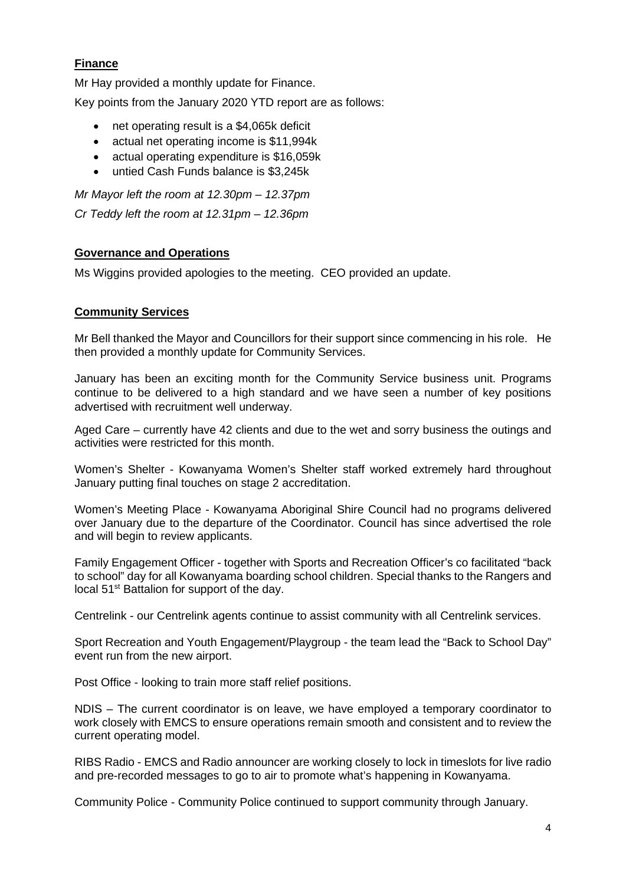# **Finance**

Mr Hay provided a monthly update for Finance.

Key points from the January 2020 YTD report are as follows:

- net operating result is a \$4,065k deficit
- actual net operating income is \$11,994k
- actual operating expenditure is \$16,059k
- untied Cash Funds balance is \$3,245k

*Mr Mayor left the room at 12.30pm – 12.37pm Cr Teddy left the room at 12.31pm – 12.36pm*

## **Governance and Operations**

Ms Wiggins provided apologies to the meeting. CEO provided an update.

## **Community Services**

Mr Bell thanked the Mayor and Councillors for their support since commencing in his role. He then provided a monthly update for Community Services.

January has been an exciting month for the Community Service business unit. Programs continue to be delivered to a high standard and we have seen a number of key positions advertised with recruitment well underway.

Aged Care – currently have 42 clients and due to the wet and sorry business the outings and activities were restricted for this month.

Women's Shelter - Kowanyama Women's Shelter staff worked extremely hard throughout January putting final touches on stage 2 accreditation.

Women's Meeting Place - Kowanyama Aboriginal Shire Council had no programs delivered over January due to the departure of the Coordinator. Council has since advertised the role and will begin to review applicants.

Family Engagement Officer - together with Sports and Recreation Officer's co facilitated "back to school" day for all Kowanyama boarding school children. Special thanks to the Rangers and local 51<sup>st</sup> Battalion for support of the day.

Centrelink - our Centrelink agents continue to assist community with all Centrelink services.

Sport Recreation and Youth Engagement/Playgroup - the team lead the "Back to School Day" event run from the new airport.

Post Office - looking to train more staff relief positions.

NDIS – The current coordinator is on leave, we have employed a temporary coordinator to work closely with EMCS to ensure operations remain smooth and consistent and to review the current operating model.

RIBS Radio - EMCS and Radio announcer are working closely to lock in timeslots for live radio and pre-recorded messages to go to air to promote what's happening in Kowanyama.

Community Police - Community Police continued to support community through January.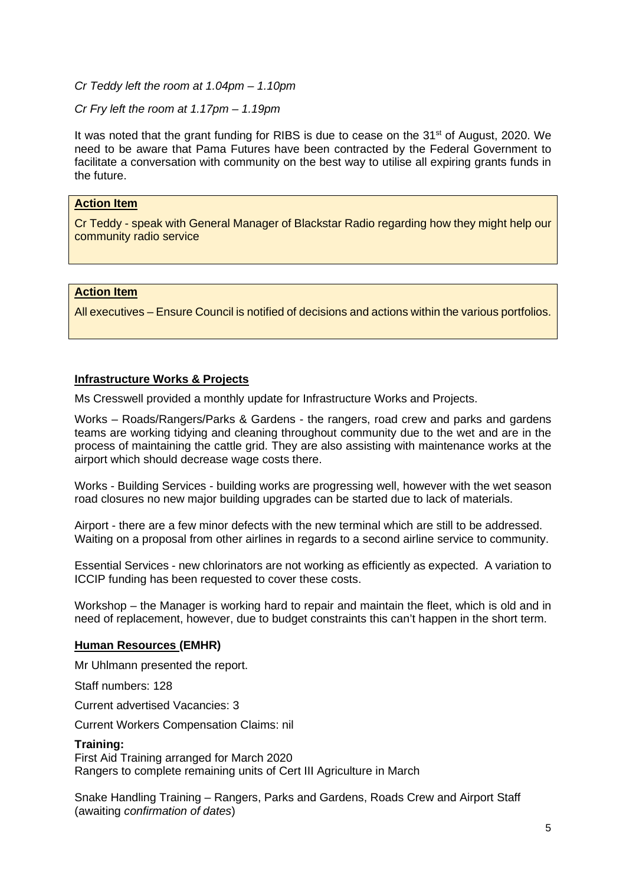### *Cr Teddy left the room at 1.04pm – 1.10pm*

#### *Cr Fry left the room at 1.17pm – 1.19pm*

It was noted that the grant funding for RIBS is due to cease on the 31<sup>st</sup> of August, 2020. We need to be aware that Pama Futures have been contracted by the Federal Government to facilitate a conversation with community on the best way to utilise all expiring grants funds in the future.

#### **Action Item**

Cr Teddy - speak with General Manager of Blackstar Radio regarding how they might help our community radio service

#### **Action Item**

All executives – Ensure Council is notified of decisions and actions within the various portfolios.

### **Infrastructure Works & Projects**

Ms Cresswell provided a monthly update for Infrastructure Works and Projects.

Works – Roads/Rangers/Parks & Gardens - the rangers, road crew and parks and gardens teams are working tidying and cleaning throughout community due to the wet and are in the process of maintaining the cattle grid. They are also assisting with maintenance works at the airport which should decrease wage costs there.

Works - Building Services - building works are progressing well, however with the wet season road closures no new major building upgrades can be started due to lack of materials.

Airport - there are a few minor defects with the new terminal which are still to be addressed. Waiting on a proposal from other airlines in regards to a second airline service to community.

Essential Services - new chlorinators are not working as efficiently as expected. A variation to ICCIP funding has been requested to cover these costs.

Workshop – the Manager is working hard to repair and maintain the fleet, which is old and in need of replacement, however, due to budget constraints this can't happen in the short term.

#### **Human Resources (EMHR)**

Mr Uhlmann presented the report.

Staff numbers: 128

Current advertised Vacancies: 3

Current Workers Compensation Claims: nil

#### **Training:**

First Aid Training arranged for March 2020 Rangers to complete remaining units of Cert III Agriculture in March

Snake Handling Training – Rangers, Parks and Gardens, Roads Crew and Airport Staff (awaiting *confirmation of dates*)